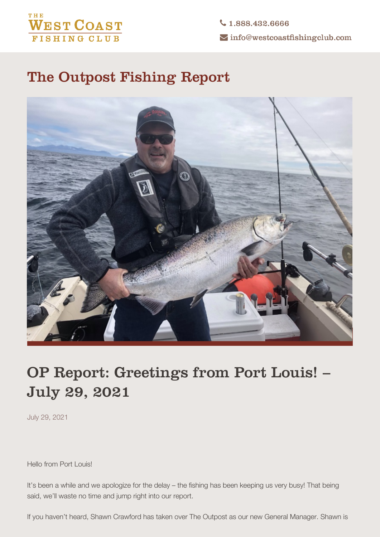## **THE WEST COAST FISHING CLUB**

 $\bigcup$  1.888.432.6666  $\blacktriangleright$  info@westcoastfishingclub.com

## **The Outpost Fishing Report**



## **OP Report: Greetings from Port Louis! – July 29, 2021**

July 29, 2021

Hello from Port Louis!

It's been a while and we apologize for the delay – the fishing has been keeping us very busy! That being said, we'll waste no time and jump right into our report.

If you haven't heard, Shawn Crawford has taken over The Outpost as our new General Manager. Shawn is